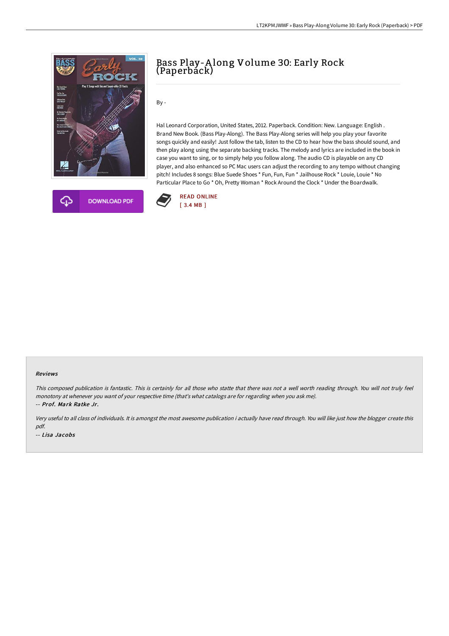

## Bass Play-A long Volume 30: Early Rock (Paperback)

By -

Hal Leonard Corporation, United States, 2012. Paperback. Condition: New. Language: English . Brand New Book. (Bass Play-Along). The Bass Play-Along series will help you play your favorite songs quickly and easily! Just follow the tab, listen to the CD to hear how the bass should sound, and then play along using the separate backing tracks. The melody and lyrics are included in the book in case you want to sing, or to simply help you follow along. The audio CD is playable on any CD player, and also enhanced so PC Mac users can adjust the recording to any tempo without changing pitch! Includes 8 songs: Blue Suede Shoes \* Fun, Fun, Fun \* Jailhouse Rock \* Louie, Louie \* No Particular Place to Go \* Oh, Pretty Woman \* Rock Around the Clock \* Under the Boardwalk.



## Reviews

This composed publication is fantastic. This is certainly for all those who statte that there was not <sup>a</sup> well worth reading through. You will not truly feel monotony at whenever you want of your respective time (that's what catalogs are for regarding when you ask me). -- Prof. Mark Ratke Jr.

Very useful to all class of individuals. It is amongst the most awesome publication i actually have read through. You will like just how the blogger create this pdf. -- Lisa Jacobs